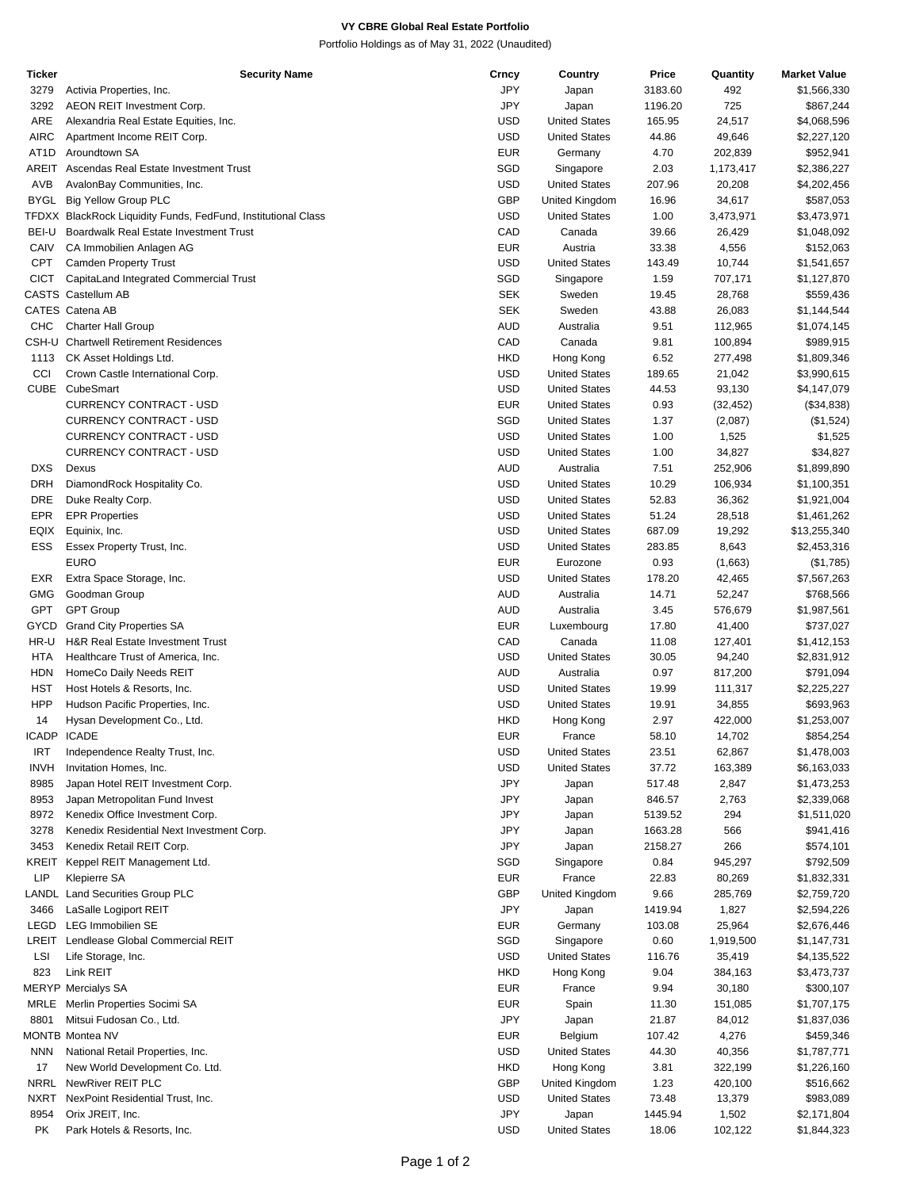## **VY CBRE Global Real Estate Portfolio**

Portfolio Holdings as of May 31, 2022 (Unaudited)

| Ticker             | Security Name                                                 | Crncy      | Country              | Price   | Quantity  | <b>Market Value</b> |
|--------------------|---------------------------------------------------------------|------------|----------------------|---------|-----------|---------------------|
| 3279               | Activia Properties, Inc.                                      | JPY        | Japan                | 3183.60 | 492       | \$1,566,330         |
| 3292               | AEON REIT Investment Corp.                                    | JPY        | Japan                | 1196.20 | 725       | \$867,244           |
| ARE                | Alexandria Real Estate Equities, Inc.                         | <b>USD</b> | <b>United States</b> | 165.95  | 24,517    | \$4,068,596         |
| <b>AIRC</b>        | Apartment Income REIT Corp.                                   | <b>USD</b> | <b>United States</b> | 44.86   | 49,646    | \$2,227,120         |
| AT <sub>1</sub> D  | Aroundtown SA                                                 | <b>EUR</b> | Germany              | 4.70    | 202,839   | \$952,941           |
| AREIT              | Ascendas Real Estate Investment Trust                         | SGD        | Singapore            | 2.03    | 1,173,417 | \$2,386,227         |
| AVB                |                                                               | <b>USD</b> |                      | 207.96  |           |                     |
|                    | AvalonBay Communities, Inc.                                   |            | <b>United States</b> |         | 20,208    | \$4,202,456         |
| <b>BYGL</b>        | <b>Big Yellow Group PLC</b>                                   | <b>GBP</b> | United Kingdom       | 16.96   | 34,617    | \$587,053           |
|                    | TFDXX BlackRock Liquidity Funds, FedFund, Institutional Class | <b>USD</b> | <b>United States</b> | 1.00    | 3,473,971 | \$3,473,971         |
| BEI-U              | Boardwalk Real Estate Investment Trust                        | CAD        | Canada               | 39.66   | 26,429    | \$1,048,092         |
| CAIV               | CA Immobilien Anlagen AG                                      | <b>EUR</b> | Austria              | 33.38   | 4,556     | \$152,063           |
| <b>CPT</b>         | <b>Camden Property Trust</b>                                  | <b>USD</b> | <b>United States</b> | 143.49  | 10,744    | \$1,541,657         |
| <b>CICT</b>        | CapitaLand Integrated Commercial Trust                        | SGD        | Singapore            | 1.59    | 707,171   | \$1,127,870         |
|                    | CASTS Castellum AB                                            | <b>SEK</b> | Sweden               | 19.45   | 28,768    | \$559,436           |
|                    | CATES Catena AB                                               | <b>SEK</b> | Sweden               | 43.88   | 26,083    | \$1,144,544         |
| <b>CHC</b>         | <b>Charter Hall Group</b>                                     | <b>AUD</b> | Australia            | 9.51    | 112,965   | \$1,074,145         |
|                    | <b>CSH-U</b> Chartwell Retirement Residences                  | CAD        | Canada               | 9.81    | 100,894   | \$989,915           |
| 1113               | CK Asset Holdings Ltd.                                        | <b>HKD</b> | Hong Kong            | 6.52    | 277,498   | \$1,809,346         |
|                    |                                                               | <b>USD</b> |                      |         |           |                     |
| CCI                | Crown Castle International Corp.                              |            | <b>United States</b> | 189.65  | 21,042    | \$3,990,615         |
| <b>CUBE</b>        | CubeSmart                                                     | <b>USD</b> | <b>United States</b> | 44.53   | 93,130    | \$4,147,079         |
|                    | <b>CURRENCY CONTRACT - USD</b>                                | <b>EUR</b> | <b>United States</b> | 0.93    | (32, 452) | (\$34,838)          |
|                    | <b>CURRENCY CONTRACT - USD</b>                                | SGD        | <b>United States</b> | 1.37    | (2,087)   | (\$1,524)           |
|                    | <b>CURRENCY CONTRACT - USD</b>                                | <b>USD</b> | <b>United States</b> | 1.00    | 1,525     | \$1,525             |
|                    | <b>CURRENCY CONTRACT - USD</b>                                | <b>USD</b> | <b>United States</b> | 1.00    | 34,827    | \$34,827            |
| <b>DXS</b>         | Dexus                                                         | <b>AUD</b> | Australia            | 7.51    | 252,906   | \$1,899,890         |
| <b>DRH</b>         | DiamondRock Hospitality Co.                                   | <b>USD</b> | <b>United States</b> | 10.29   | 106,934   | \$1,100,351         |
| <b>DRE</b>         | Duke Realty Corp.                                             | <b>USD</b> | <b>United States</b> | 52.83   | 36,362    | \$1,921,004         |
| <b>EPR</b>         | <b>EPR Properties</b>                                         | <b>USD</b> | <b>United States</b> | 51.24   | 28,518    | \$1,461,262         |
| EQIX               | Equinix, Inc.                                                 | <b>USD</b> | <b>United States</b> | 687.09  | 19,292    | \$13,255,340        |
| <b>ESS</b>         |                                                               | <b>USD</b> | <b>United States</b> | 283.85  | 8,643     |                     |
|                    | Essex Property Trust, Inc.                                    |            |                      |         |           | \$2,453,316         |
|                    | <b>EURO</b>                                                   | <b>EUR</b> | Eurozone             | 0.93    | (1,663)   | (\$1,785)           |
| EXR                | Extra Space Storage, Inc.                                     | <b>USD</b> | <b>United States</b> | 178.20  | 42,465    | \$7,567,263         |
| <b>GMG</b>         | Goodman Group                                                 | <b>AUD</b> | Australia            | 14.71   | 52,247    | \$768,566           |
| GPT                | <b>GPT Group</b>                                              | <b>AUD</b> | Australia            | 3.45    | 576,679   | \$1,987,561         |
| GYCD               | <b>Grand City Properties SA</b>                               | <b>EUR</b> | Luxembourg           | 17.80   | 41,400    | \$737,027           |
| HR-U               | H&R Real Estate Investment Trust                              | CAD        | Canada               | 11.08   | 127,401   | \$1,412,153         |
| HTA                | Healthcare Trust of America, Inc.                             | <b>USD</b> | <b>United States</b> | 30.05   | 94,240    | \$2,831,912         |
| <b>HDN</b>         | HomeCo Daily Needs REIT                                       | <b>AUD</b> | Australia            | 0.97    | 817,200   | \$791,094           |
| <b>HST</b>         | Host Hotels & Resorts, Inc.                                   | <b>USD</b> | <b>United States</b> | 19.99   | 111,317   | \$2,225,227         |
| <b>HPP</b>         | Hudson Pacific Properties, Inc.                               | <b>USD</b> | <b>United States</b> | 19.91   | 34,855    | \$693,963           |
| 14                 | Hysan Development Co., Ltd.                                   | <b>HKD</b> | Hong Kong            | 2.97    | 422,000   | \$1,253,007         |
| <b>ICADP ICADE</b> |                                                               | <b>EUR</b> | France               | 58.10   | 14,702    | \$854,254           |
|                    |                                                               |            |                      |         |           |                     |
| <b>IRT</b>         | Independence Realty Trust, Inc.                               | <b>USD</b> | <b>United States</b> | 23.51   | 62,867    | \$1,478,003         |
| <b>INVH</b>        | Invitation Homes, Inc.                                        | USD        | <b>United States</b> | 37.72   | 163,389   | \$6,163,033         |
| 8985               | Japan Hotel REIT Investment Corp.                             | JPY        | Japan                | 517.48  | 2,847     | \$1,473,253         |
| 8953               | Japan Metropolitan Fund Invest                                | JPY        | Japan                | 846.57  | 2,763     | \$2,339,068         |
| 8972               | Kenedix Office Investment Corp.                               | JPY        | Japan                | 5139.52 | 294       | \$1,511,020         |
| 3278               | Kenedix Residential Next Investment Corp.                     | JPY        | Japan                | 1663.28 | 566       | \$941,416           |
| 3453               | Kenedix Retail REIT Corp.                                     | JPY        | Japan                | 2158.27 | 266       | \$574,101           |
| KREIT              | Keppel REIT Management Ltd.                                   | SGD        | Singapore            | 0.84    | 945,297   | \$792,509           |
| LIP                | <b>Klepierre SA</b>                                           | <b>EUR</b> | France               | 22.83   | 80,269    | \$1,832,331         |
|                    | <b>LANDL Land Securities Group PLC</b>                        | <b>GBP</b> | United Kingdom       | 9.66    | 285,769   | \$2,759,720         |
| 3466               | LaSalle Logiport REIT                                         | JPY        | Japan                | 1419.94 | 1,827     | \$2,594,226         |
| LEGD               | LEG Immobilien SE                                             | <b>EUR</b> | Germany              | 103.08  | 25,964    | \$2,676,446         |
|                    |                                                               |            |                      |         |           |                     |
| LREIT              | Lendlease Global Commercial REIT                              | SGD        | Singapore            | 0.60    | 1,919,500 | \$1,147,731         |
| LSI                | Life Storage, Inc.                                            | <b>USD</b> | <b>United States</b> | 116.76  | 35,419    | \$4,135,522         |
| 823                | Link REIT                                                     | <b>HKD</b> | Hong Kong            | 9.04    | 384,163   | \$3,473,737         |
|                    | <b>MERYP Mercialys SA</b>                                     | <b>EUR</b> | France               | 9.94    | 30,180    | \$300,107           |
| MRLE               | Merlin Properties Socimi SA                                   | <b>EUR</b> | Spain                | 11.30   | 151,085   | \$1,707,175         |
| 8801               | Mitsui Fudosan Co., Ltd.                                      | JPY        | Japan                | 21.87   | 84,012    | \$1,837,036         |
|                    | MONTB Montea NV                                               | <b>EUR</b> | Belgium              | 107.42  | 4,276     | \$459,346           |
| <b>NNN</b>         | National Retail Properties, Inc.                              | <b>USD</b> | <b>United States</b> | 44.30   | 40,356    | \$1,787,771         |
| 17                 | New World Development Co. Ltd.                                | <b>HKD</b> | Hong Kong            | 3.81    | 322,199   | \$1,226,160         |
| <b>NRRL</b>        | NewRiver REIT PLC                                             | <b>GBP</b> | United Kingdom       | 1.23    | 420,100   | \$516,662           |
|                    |                                                               |            |                      |         |           |                     |
| <b>NXRT</b>        | NexPoint Residential Trust, Inc.                              | USD        | <b>United States</b> | 73.48   | 13,379    | \$983,089           |
| 8954               | Orix JREIT, Inc.                                              | <b>JPY</b> | Japan                | 1445.94 | 1,502     | \$2,171,804         |
| PK                 | Park Hotels & Resorts, Inc.                                   | <b>USD</b> | <b>United States</b> | 18.06   | 102,122   | \$1,844,323         |